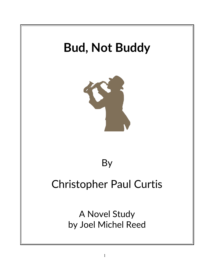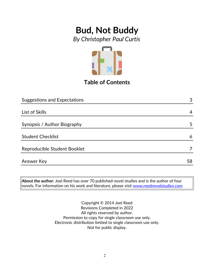*By Christopher Paul Curtis*



**Table of Contents**

| <b>Suggestions and Expectations</b> | 3  |
|-------------------------------------|----|
|                                     |    |
| List of Skills                      | 4  |
|                                     |    |
| Synopsis / Author Biography         | 5  |
|                                     |    |
| <b>Student Checklist</b>            | 6  |
|                                     |    |
| Reproducible Student Booklet        |    |
|                                     |    |
| Answer Key                          | 58 |

**About the author:** Joel Reed has over 70 published novel studies and is the author of four  $|$ novels. For information on his work and literature, please visit [www.reednovelstudies.com](http://www.reednovelstudies.com/)

> Copyright © 2014 Joel Reed Revisions Completed in 2022 All rights reserved by author. Permission to copy for single classroom use only. Electronic distribution limited to single classroom use only. Not for public display.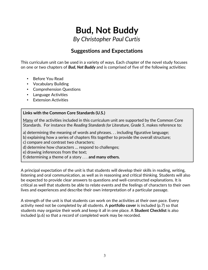*By Christopher Paul Curtis*

### **Suggestions and Expectations**

This curriculum unit can be used in a variety of ways. Each chapter of the novel study focuses on one or two chapters of *Bud, Not Buddy* and is comprised of five of the following activities:

- Before You Read
- Vocabulary Building
- Comprehension Questions
- Language Activities
- **Extension Activities**

#### **Links with the Common Core Standards (U.S.)**

Many of the activities included in this curriculum unit are supported by the Common Core Standards. For instance the *Reading Standards for Literature, Grade 5*, makes reference to:

a) determining the meaning of words and phrases. . . including figurative language;

b) explaining how a series of chapters fits together to provide the overall structure;

c) compare and contrast two characters;

d) determine how characters … respond to challenges;

e) drawing inferences from the text;

f) determining a theme of a story . . . **and many others.**

A principal expectation of the unit is that students will develop their skills in reading, writing, listening and oral communication, as well as in reasoning and critical thinking. Students will also be expected to provide clear answers to questions and well-constructed explanations. It is critical as well that students be able to relate events and the feelings of characters to their own lives and experiences and describe their own interpretation of a particular passage.

A strength of the unit is that students can work on the activities at their own pace. Every activity need not be completed by all students. A **portfolio cover** is included (p.7) so that students may organize their work and keep it all in one place. A **Student Checklist** is also included (p.6) so that a record of completed work may be recorded.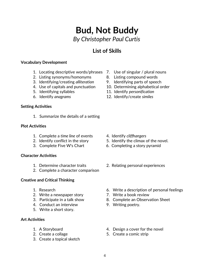## **Bud, Not Buddy** *By Christopher Paul Curtis*

### **List of Skills**

#### **Vocabulary Development**

- 1. Locating descriptive words/phrases 7. Use of singular / plural nouns
- 2. Listing synonyms/homonyms 8. Listing compound words
- 3. Identifying/creating *alliteration* 9. Identifying parts of speech
- 
- 
- 

#### **Setting Activities**

1. Summarize the details of a setting

#### **Plot Activities**

- 1. Complete a *time line* of events 4. Identify *cliffhangers*
- 
- 

#### **Character Activities**

- 
- 2. Complete a character comparison

#### **Creative and Critical Thinking**

- 
- 2. Write a newspaper story **7.** Write a book review
- 
- 4. Conduct an interview 9. Writing poetry.
- 5. Write a short story.

#### **Art Activities**

- 
- 
- 3. Create a topical sketch
- 
- 
- 
- 4. Use of capitals and punctuation 10. Determining alphabetical order
- 5. Identifying syllables 11. Identify *personification*
- 6. Identify *anagrams* 12. Identify/create *similes*

- 
- 2. Identify conflict in the story 5. Identify the climax of the novel.
- 3. Complete Five W's Chart 6. Completing a story pyramid
- 1. Determine character traits 2. Relating personal experiences
- 1. Research 6. Write a description of personal feelings
	-
- 3. Participate in a talk show 8. Complete an Observation Sheet
	-
- 1. A Storyboard 1. A Storyboard 1. A Storyboard 1. A Storyboard 1. A Storyboard 1. A Storyboard 1. A Storyboard 1. A Storyboard 1. A Storyboard 1. A Storyboard 1. A Storyboard 1. A Storyboard 1. A Storyboard 1. A Storyboar
- 2. Create a collage 5. Create a comic strip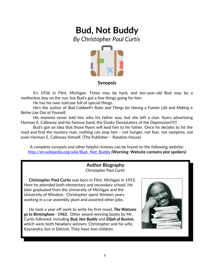## **Bud, Not Buddy** *By Christopher Paul Curtis*



#### **Synopsis**

It's 1936 in Flint, Michigan. Times may be hard, and ten-year-old Bud may be a motherless boy on the run, but Bud's got a few things going for him:

He has his own suitcase full of special things.

He's the author of *Bud Caldwell's Rules and Things for Having a Funner Life and Making a Better Liar Out of Yourself*.

His momma never told him who his father was, but she left a clue: flyers advertising Herman E. Calloway and his famous band, the Dusky Devastators of the Depression!!!!!!

Bud's got an idea that those flyers will lead him to his father. Once he decides to hit the road and find the mystery man, nothing can stop him – not hunger, not fear, not vampires, not even Herman E. Calloway himself. (The Publisher – Random House)

A complete synopsis and other helpful reviews can be found on the following website: [http://en.wikipedia.org/wiki/Bud,\\_Not\\_Buddy](http://en.wikipedia.org/wiki/Bud,_Not_Buddy) **(Warning: Website contains plot spoilers)**

#### **Author Biography** *Christopher Paul Curtis*

 **Christopher Paul Curtis** was born in Flint, Michigan in 1953. Here he attended both elementary and secondary school. He later graduated from the University of Michigan and the University of Windsor. Christopher spent thirteen years working in a car assembly plant and assorted other jobs.

 He took a year off work to write his first novel, *The Watsons go to Birmingham - 1963.* Other award-winning books by Mr. Curtis followed, including *Bud, Not Buddy* and *Elijah of Buxton*, which were both Newbery winners. Christopher and his wife, Kaysandra, live in Detroit. They have two children.

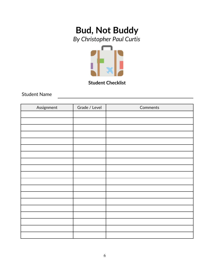## **Bud, Not Buddy** *By Christopher Paul Curtis*



**Student Checklist**

Student Name

| Assignment | Grade / Level | Comments |
|------------|---------------|----------|
|            |               |          |
|            |               |          |
|            |               |          |
|            |               |          |
|            |               |          |
|            |               |          |
|            |               |          |
|            |               |          |
|            |               |          |
|            |               |          |
|            |               |          |
|            |               |          |
|            |               |          |
|            |               |          |
|            |               |          |
|            |               |          |
|            |               |          |
|            |               |          |
|            |               |          |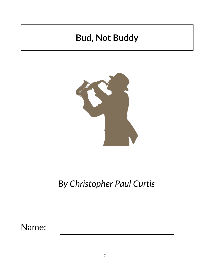

## *By Christopher Paul Curtis*

Name: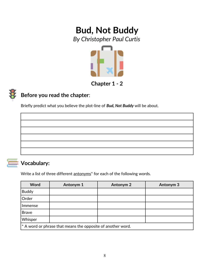*By Christopher Paul Curtis*



## **Chapter 1 - 2**

## **Before you read the chapter**:

Briefly predict what you believe the plot-line of *Bud, Not Buddy* will be about.



## **Vocabulary:**

Write a list of three different antonyms<sup>\*</sup> for each of the following words.

| Word                                                          | Antonym 1 | <b>Antonym 2</b> | Antonym <sub>3</sub> |
|---------------------------------------------------------------|-----------|------------------|----------------------|
| <b>Buddy</b>                                                  |           |                  |                      |
| Order                                                         |           |                  |                      |
| Immense                                                       |           |                  |                      |
| <b>Brave</b>                                                  |           |                  |                      |
| Whisper                                                       |           |                  |                      |
| $*$ A word or phrase that means the opposite of another word. |           |                  |                      |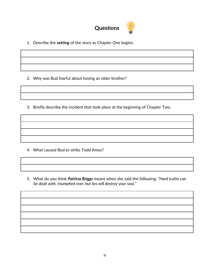

1. Describe the **setting** of the story as Chapter One begins.

2. Why was Bud fearful about having an older brother?

3. Briefly describe the incident that took place at the beginning of Chapter Two.

- 4. What caused Bud to strike Todd Amos?
- 5. What do you think *Patricia Briggs* meant when she said the following: *"Hard truths can be dealt with, triumphed over, but lies will destroy your soul."*

9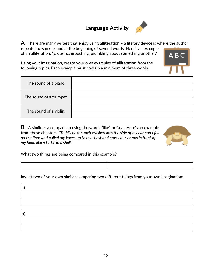## **Language Activity**



**A**. There are many writers that enjoy using **alliteration –** a literary device is where the author **r**epeats the same sound at the beginning of several words. Here's an example of an alliteration: "**g**rousing, **g**rouching, **g**rumbling about something or other."

Using your imagination, create your own examples of **alliteration** from the following topics. Each example must contain a minimum of three words.

| The sound of a piano.   |  |
|-------------------------|--|
| The sound of a trumpet. |  |
| The sound of a violin.  |  |

**B.** A **simile** is a comparison using the words "like" or "as". Here's an example from these chapters: *"Todd's next punch crashed into the side of my ear and I fell on the floor and pulled my knees up to my chest and crossed my arms in front of my head like a turtle in a shell."*



What two things are being compared in this example?

Invent two of your own **similes** comparing two different things from your own imagination:

| a)           |  |  |  |
|--------------|--|--|--|
|              |  |  |  |
|              |  |  |  |
|              |  |  |  |
| $\mathsf{b}$ |  |  |  |
|              |  |  |  |
|              |  |  |  |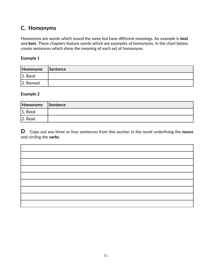### **C. Homonyms**

Homonyms are words which sound the same but have different meanings. An example is *beat* and *beet.* These chapters feature words which are examples of homonyms. In the chart below, create sentences which show the meaning of each set of homonyms.

#### **Example 1**

| Homonyms Sentence |  |
|-------------------|--|
| $ 1.$ Band        |  |
| 2. Banned         |  |

#### **Example 2**

| Homonyms   | Sentence |
|------------|----------|
| $ 1.$ Reed |          |
| 2. Read    |          |

**D**. Copy out any three or four sentences from this section in the novel underlining the **nouns** and circling the **verbs**.